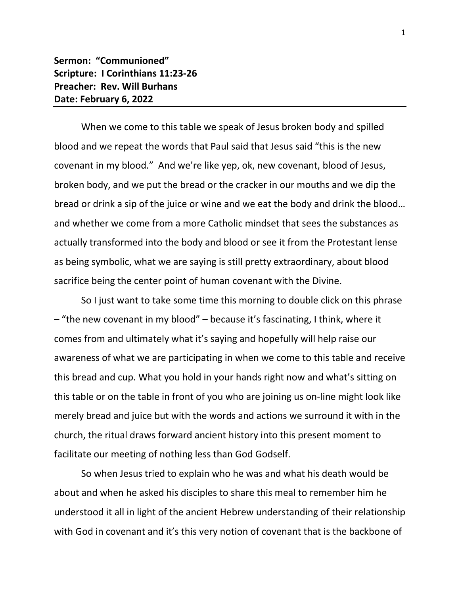## **Sermon: "Communioned" Scripture: I Corinthians 11:23-26 Preacher: Rev. Will Burhans Date: February 6, 2022**

When we come to this table we speak of Jesus broken body and spilled blood and we repeat the words that Paul said that Jesus said "this is the new covenant in my blood." And we're like yep, ok, new covenant, blood of Jesus, broken body, and we put the bread or the cracker in our mouths and we dip the bread or drink a sip of the juice or wine and we eat the body and drink the blood… and whether we come from a more Catholic mindset that sees the substances as actually transformed into the body and blood or see it from the Protestant lense as being symbolic, what we are saying is still pretty extraordinary, about blood sacrifice being the center point of human covenant with the Divine.

So I just want to take some time this morning to double click on this phrase – "the new covenant in my blood" – because it's fascinating, I think, where it comes from and ultimately what it's saying and hopefully will help raise our awareness of what we are participating in when we come to this table and receive this bread and cup. What you hold in your hands right now and what's sitting on this table or on the table in front of you who are joining us on-line might look like merely bread and juice but with the words and actions we surround it with in the church, the ritual draws forward ancient history into this present moment to facilitate our meeting of nothing less than God Godself.

So when Jesus tried to explain who he was and what his death would be about and when he asked his disciples to share this meal to remember him he understood it all in light of the ancient Hebrew understanding of their relationship with God in covenant and it's this very notion of covenant that is the backbone of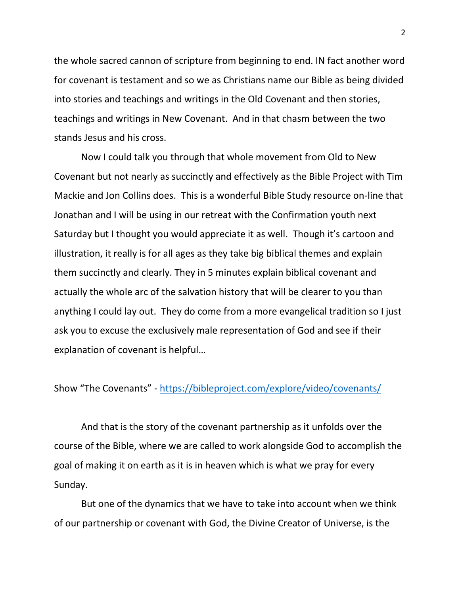the whole sacred cannon of scripture from beginning to end. IN fact another word for covenant is testament and so we as Christians name our Bible as being divided into stories and teachings and writings in the Old Covenant and then stories, teachings and writings in New Covenant. And in that chasm between the two stands Jesus and his cross.

Now I could talk you through that whole movement from Old to New Covenant but not nearly as succinctly and effectively as the Bible Project with Tim Mackie and Jon Collins does. This is a wonderful Bible Study resource on-line that Jonathan and I will be using in our retreat with the Confirmation youth next Saturday but I thought you would appreciate it as well. Though it's cartoon and illustration, it really is for all ages as they take big biblical themes and explain them succinctly and clearly. They in 5 minutes explain biblical covenant and actually the whole arc of the salvation history that will be clearer to you than anything I could lay out. They do come from a more evangelical tradition so I just ask you to excuse the exclusively male representation of God and see if their explanation of covenant is helpful…

Show "The Covenants" - <https://bibleproject.com/explore/video/covenants/>

And that is the story of the covenant partnership as it unfolds over the course of the Bible, where we are called to work alongside God to accomplish the goal of making it on earth as it is in heaven which is what we pray for every Sunday.

But one of the dynamics that we have to take into account when we think of our partnership or covenant with God, the Divine Creator of Universe, is the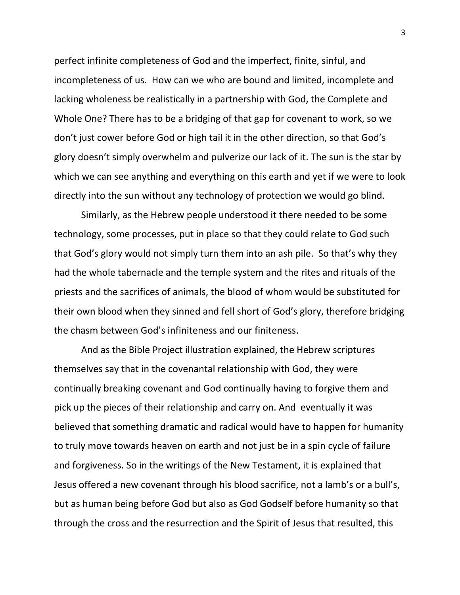perfect infinite completeness of God and the imperfect, finite, sinful, and incompleteness of us. How can we who are bound and limited, incomplete and lacking wholeness be realistically in a partnership with God, the Complete and Whole One? There has to be a bridging of that gap for covenant to work, so we don't just cower before God or high tail it in the other direction, so that God's glory doesn't simply overwhelm and pulverize our lack of it. The sun is the star by which we can see anything and everything on this earth and yet if we were to look directly into the sun without any technology of protection we would go blind.

Similarly, as the Hebrew people understood it there needed to be some technology, some processes, put in place so that they could relate to God such that God's glory would not simply turn them into an ash pile. So that's why they had the whole tabernacle and the temple system and the rites and rituals of the priests and the sacrifices of animals, the blood of whom would be substituted for their own blood when they sinned and fell short of God's glory, therefore bridging the chasm between God's infiniteness and our finiteness.

And as the Bible Project illustration explained, the Hebrew scriptures themselves say that in the covenantal relationship with God, they were continually breaking covenant and God continually having to forgive them and pick up the pieces of their relationship and carry on. And eventually it was believed that something dramatic and radical would have to happen for humanity to truly move towards heaven on earth and not just be in a spin cycle of failure and forgiveness. So in the writings of the New Testament, it is explained that Jesus offered a new covenant through his blood sacrifice, not a lamb's or a bull's, but as human being before God but also as God Godself before humanity so that through the cross and the resurrection and the Spirit of Jesus that resulted, this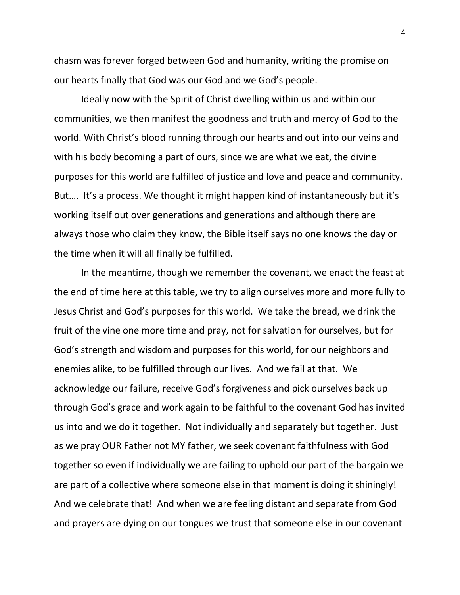chasm was forever forged between God and humanity, writing the promise on our hearts finally that God was our God and we God's people.

Ideally now with the Spirit of Christ dwelling within us and within our communities, we then manifest the goodness and truth and mercy of God to the world. With Christ's blood running through our hearts and out into our veins and with his body becoming a part of ours, since we are what we eat, the divine purposes for this world are fulfilled of justice and love and peace and community. But.... It's a process. We thought it might happen kind of instantaneously but it's working itself out over generations and generations and although there are always those who claim they know, the Bible itself says no one knows the day or the time when it will all finally be fulfilled.

In the meantime, though we remember the covenant, we enact the feast at the end of time here at this table, we try to align ourselves more and more fully to Jesus Christ and God's purposes for this world. We take the bread, we drink the fruit of the vine one more time and pray, not for salvation for ourselves, but for God's strength and wisdom and purposes for this world, for our neighbors and enemies alike, to be fulfilled through our lives. And we fail at that. We acknowledge our failure, receive God's forgiveness and pick ourselves back up through God's grace and work again to be faithful to the covenant God has invited us into and we do it together. Not individually and separately but together. Just as we pray OUR Father not MY father, we seek covenant faithfulness with God together so even if individually we are failing to uphold our part of the bargain we are part of a collective where someone else in that moment is doing it shiningly! And we celebrate that! And when we are feeling distant and separate from God and prayers are dying on our tongues we trust that someone else in our covenant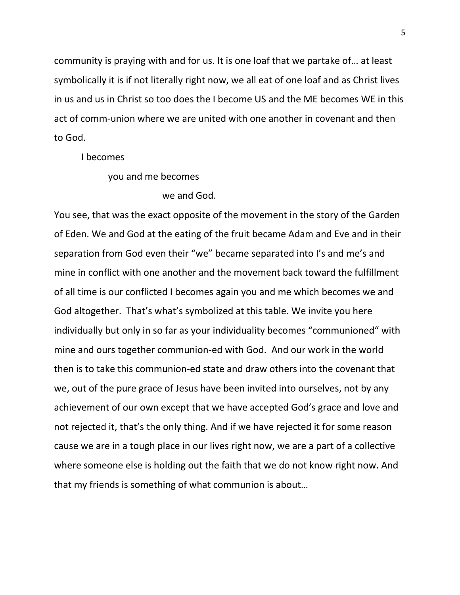community is praying with and for us. It is one loaf that we partake of… at least symbolically it is if not literally right now, we all eat of one loaf and as Christ lives in us and us in Christ so too does the I become US and the ME becomes WE in this act of comm-union where we are united with one another in covenant and then to God.

I becomes

you and me becomes

## we and God.

You see, that was the exact opposite of the movement in the story of the Garden of Eden. We and God at the eating of the fruit became Adam and Eve and in their separation from God even their "we" became separated into I's and me's and mine in conflict with one another and the movement back toward the fulfillment of all time is our conflicted I becomes again you and me which becomes we and God altogether. That's what's symbolized at this table. We invite you here individually but only in so far as your individuality becomes "communioned" with mine and ours together communion-ed with God. And our work in the world then is to take this communion-ed state and draw others into the covenant that we, out of the pure grace of Jesus have been invited into ourselves, not by any achievement of our own except that we have accepted God's grace and love and not rejected it, that's the only thing. And if we have rejected it for some reason cause we are in a tough place in our lives right now, we are a part of a collective where someone else is holding out the faith that we do not know right now. And that my friends is something of what communion is about…